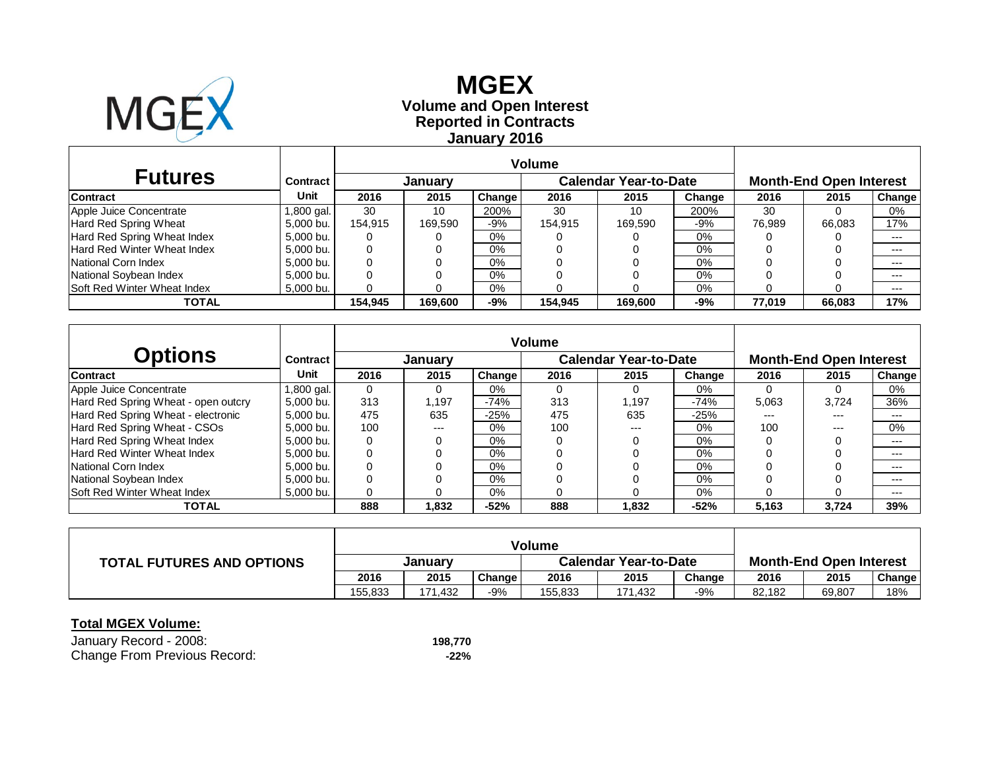

# **Reported in Contracts Volume and Open Interest MGEX January 2016**

| <b>Futures</b>                     | Contract  | <b>January</b> |         |        | <b>Calendar Year-to-Date</b> |         |        | <b>Month-End Open Interest</b> |        |        |
|------------------------------------|-----------|----------------|---------|--------|------------------------------|---------|--------|--------------------------------|--------|--------|
| <b>Contract</b>                    | Unit      | 2016           | 2015    | Change | 2016                         | 2015    | Change | 2016                           | 2015   | Change |
| Apple Juice Concentrate            | .800 gal. | 30             | 10      | 200%   | 30                           | 10      | 200%   | 30                             |        | 0%     |
| Hard Red Spring Wheat              | 5.000 bu. | 154.915        | 169.590 | -9%    | 154.915                      | 169,590 | -9%    | 76.989                         | 66.083 | 17%    |
| Hard Red Spring Wheat Index        | 5,000 bu. | 0              |         | 0%     |                              |         | 0%     |                                |        | $---$  |
| <b>Hard Red Winter Wheat Index</b> | 5,000 bu. | 0              |         | 0%     |                              |         | 0%     |                                |        | $---$  |
| National Corn Index                | 5,000 bu. | 0              |         | 0%     |                              |         | $0\%$  |                                |        | $--$   |
| National Soybean Index             | 5,000 bu. |                |         | 0%     |                              |         | 0%     |                                |        | $---$  |
| <b>Soft Red Winter Wheat Index</b> | 5,000 bu. |                |         | 0%     |                              |         | 0%     |                                |        | $---$  |
| TOTAL                              |           | 154.945        | 169.600 | -9%    | 154.945                      | 169.600 | -9%    | 77.019                         | 66.083 | 17%    |

|                                     |            | <b>Volume</b> |                |                     |      |                              |        |                                |       |               |  |
|-------------------------------------|------------|---------------|----------------|---------------------|------|------------------------------|--------|--------------------------------|-------|---------------|--|
| <b>Options</b>                      | Contract   |               | <b>January</b> |                     |      | <b>Calendar Year-to-Date</b> |        | <b>Month-End Open Interest</b> |       |               |  |
| <b>Contract</b>                     | Unit       | 2016          | 2015           | Change <sup>1</sup> | 2016 | 2015                         | Change | 2016                           | 2015  | <b>Change</b> |  |
| Apple Juice Concentrate             | 1,800 gal. | 0             | 0              | $0\%$               |      | 0                            | 0%     |                                |       | 0%            |  |
| Hard Red Spring Wheat - open outcry | 5.000 bu.  | 313           | .197           | $-74%$              | 313  | 1.197                        | $-74%$ | 5,063                          | 3.724 | 36%           |  |
| Hard Red Spring Wheat - electronic  | 5.000 bu.  | 475           | 635            | $-25%$              | 475  | 635                          | -25%   | ---                            | ---   | $- - -$       |  |
| Hard Red Spring Wheat - CSOs        | 5.000 bu.  | 100           | $---$          | 0%                  | 100  | ---                          | $0\%$  | 100                            | $---$ | 0%            |  |
| Hard Red Spring Wheat Index         | 5.000 bu.  | 0             | 0              | 0%                  |      |                              | $0\%$  |                                |       | $---$         |  |
| Hard Red Winter Wheat Index         | 5.000 bu.  | 0             |                | 0%                  |      |                              | $0\%$  |                                |       | $---$         |  |
| National Corn Index                 | 5.000 bu.  | 0             |                | 0%                  |      |                              | $0\%$  |                                |       | $---$         |  |
| National Soybean Index              | 5.000 bu.  | 0             |                | 0%                  |      |                              | $0\%$  |                                |       | $---$         |  |
| <b>Soft Red Winter Wheat Index</b>  | 5,000 bu.  | 0             |                | 0%                  |      |                              | 0%     |                                |       | $---$         |  |
| TOTAL                               |            | 888           | 1,832          | $-52%$              | 888  | 1,832                        | $-52%$ | 5,163                          | 3,724 | 39%           |  |

|                                  | <b>Volume</b> |         |        |                              |         |        |                                |        |               |
|----------------------------------|---------------|---------|--------|------------------------------|---------|--------|--------------------------------|--------|---------------|
| <b>TOTAL FUTURES AND OPTIONS</b> | January       |         |        | <b>Calendar Year-to-Date</b> |         |        | <b>Month-End Open Interest</b> |        |               |
|                                  | 2016          | 2015    | Change | 2016                         | 2015    | Change | 2016                           | 2015   | <b>Change</b> |
|                                  | 155.833       | 171.432 | $-9%$  | 155.833                      | 171,432 | $-9%$  | 82.182                         | 69,807 | 18%           |

| January Record - 2008:       | 198.770 |
|------------------------------|---------|
| Change From Previous Record: | -22%    |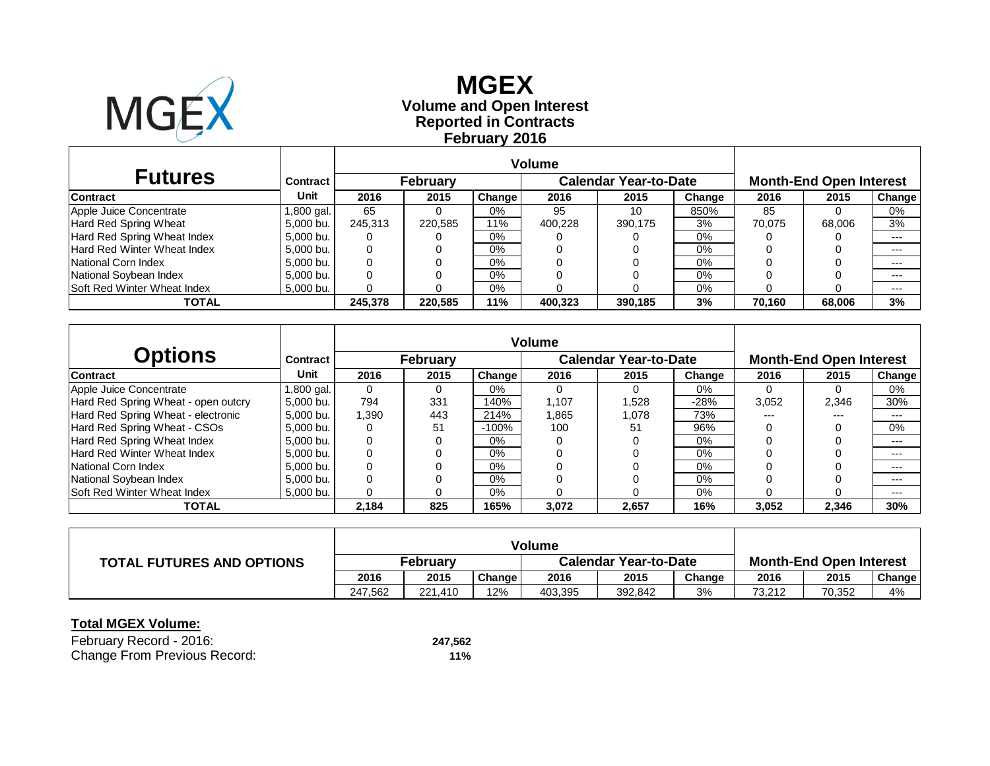

# **Reported in Contracts Volume and Open Interest MGEX February 2016**

|                                    |           | <b>Volume</b>   |         |        |                       |         |        |                                |        |        |
|------------------------------------|-----------|-----------------|---------|--------|-----------------------|---------|--------|--------------------------------|--------|--------|
| <b>Futures</b>                     | Contract  | <b>February</b> |         |        | Calendar Year-to-Date |         |        | <b>Month-End Open Interest</b> |        |        |
| <b>Contract</b>                    | Unit      | 2016            | 2015    | Change | 2016                  | 2015    | Change | 2016                           | 2015   | Change |
| Apple Juice Concentrate            | ,800 gal. | 65              |         | $0\%$  | 95                    | 10      | 850%   | 85                             |        | 0%     |
| Hard Red Spring Wheat              | 5,000 bu. | 245.313         | 220,585 | 11%    | 400.228               | 390,175 | 3%     | 70.075                         | 68,006 | 3%     |
| Hard Red Spring Wheat Index        | 5,000 bu. | 0               |         | 0%     |                       |         | 0%     |                                |        | $---$  |
| Hard Red Winter Wheat Index        | 5,000 bu. | 0               |         | 0%     |                       |         | 0%     |                                |        | $---$  |
| National Corn Index                | 5,000 bu. | 0               |         | $0\%$  |                       |         | 0%     |                                |        | $---$  |
| National Soybean Index             | 5,000 bu. | 0               |         | 0%     |                       |         | 0%     |                                |        | $---$  |
| <b>Soft Red Winter Wheat Index</b> | 5,000 bu. | 0               |         | $0\%$  |                       |         | 0%     |                                |        | $---$  |
| <b>TOTAL</b>                       |           | 245.378         | 220,585 | 11%    | 400.323               | 390,185 | 3%     | 70.160                         | 68.006 | 3%     |

|                                     |            | <b>Volume</b> |                 |                     |       |                              |        |                                |       |        |  |
|-------------------------------------|------------|---------------|-----------------|---------------------|-------|------------------------------|--------|--------------------------------|-------|--------|--|
| <b>Options</b>                      | Contract   |               | <b>February</b> |                     |       | <b>Calendar Year-to-Date</b> |        | <b>Month-End Open Interest</b> |       |        |  |
| <b>Contract</b>                     | Unit       | 2016          | 2015            | Change <sup>1</sup> | 2016  | 2015                         | Change | 2016                           | 2015  | Change |  |
| Apple Juice Concentrate             | 1,800 gal. | $\Omega$      | 0               | $0\%$               |       |                              | 0%     |                                |       | 0%     |  |
| Hard Red Spring Wheat - open outcry | 5.000 bu.  | 794           | 331             | 140%                | 1.107 | 1.528                        | -28%   | 3,052                          | 2.346 | 30%    |  |
| Hard Red Spring Wheat - electronic  | 5.000 bu.  | 390.ا         | 443             | 214%                | 1,865 | 1,078                        | 73%    | ---                            | ---   | $---$  |  |
| Hard Red Spring Wheat - CSOs        | 5.000 bu.  | 0             | 51              | $-100%$             | 100   | 51                           | 96%    |                                |       | 0%     |  |
| Hard Red Spring Wheat Index         | 5.000 bu.  | 0             | 0               | 0%                  |       |                              | $0\%$  |                                |       | $---$  |  |
| Hard Red Winter Wheat Index         | 5.000 bu.  | 0             |                 | 0%                  |       |                              | $0\%$  |                                |       | $---$  |  |
| National Corn Index                 | 5.000 bu.  | 0             |                 | 0%                  |       |                              | $0\%$  |                                |       | $---$  |  |
| National Soybean Index              | 5.000 bu.  | 0             |                 | 0%                  |       |                              | $0\%$  |                                |       | $---$  |  |
| <b>Soft Red Winter Wheat Index</b>  | 5,000 bu.  | 0             |                 | 0%                  |       |                              | 0%     |                                |       | $---$  |  |
| TOTAL                               |            | 2,184         | 825             | 165%                | 3,072 | 2,657                        | 16%    | 3,052                          | 2,346 | 30%    |  |

|                                  | <b>Volume</b>   |         |        |                              |         |        |                                |        |               |
|----------------------------------|-----------------|---------|--------|------------------------------|---------|--------|--------------------------------|--------|---------------|
| <b>TOTAL FUTURES AND OPTIONS</b> | <b>February</b> |         |        | <b>Calendar Year-to-Date</b> |         |        | <b>Month-End Open Interest</b> |        |               |
|                                  | 2016            | 2015    | Change | 2016                         | 2015    | Change | 2016                           | 2015   | <b>Change</b> |
|                                  | 247.562         | 221.410 | 12%    | 403.395                      | 392.842 | 3%     | 73.212                         | 70,352 | 4%            |

| February Record - 2016:      | 247,562 |
|------------------------------|---------|
| Change From Previous Record: | 11%     |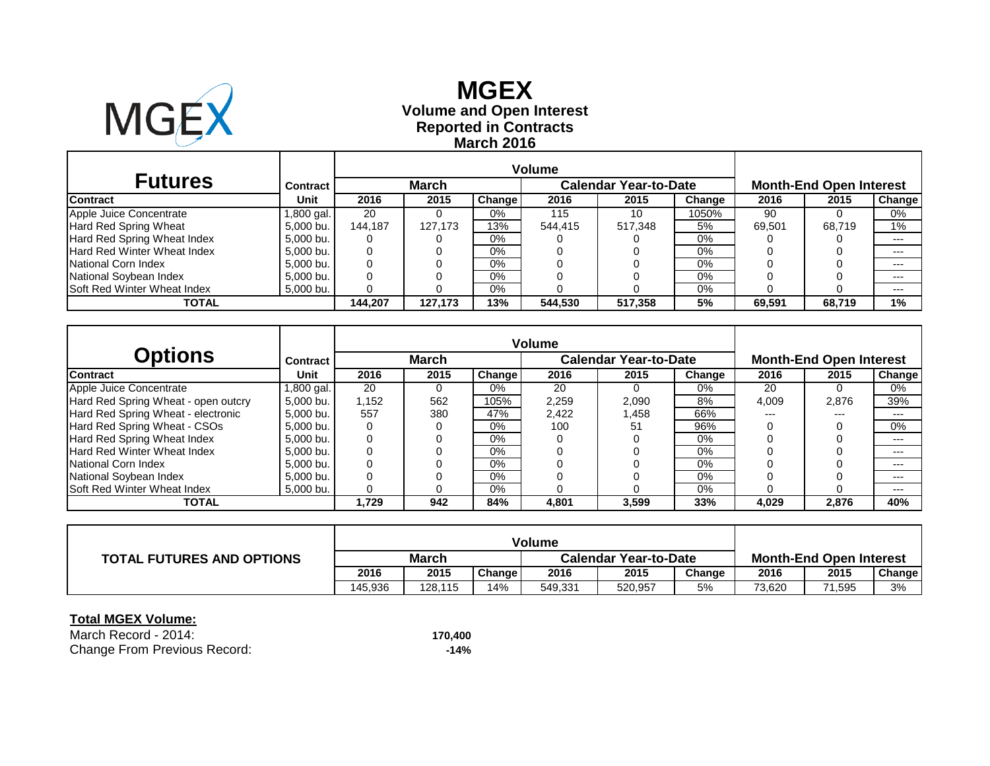

# **Reported in Contracts Volume and Open Interest MGEX March 2016**

| <b>Futures</b>                     | <b>Contract</b> |         | March   |        |         | <b>Calendar Year-to-Date</b> |        | <b>Month-End Open Interest</b> |        |               |  |
|------------------------------------|-----------------|---------|---------|--------|---------|------------------------------|--------|--------------------------------|--------|---------------|--|
| <b>Contract</b>                    | Unit            | 2016    | 2015    | Change | 2016    | 2015                         | Change | 2016                           | 2015   | <b>Change</b> |  |
| Apple Juice Concentrate            | .800 gal.       | 20      |         | $0\%$  | 115     | 10                           | 1050%  | 90                             |        | 0%            |  |
| Hard Red Spring Wheat              | 5,000 bu.       | 144.187 | 127.173 | 13%    | 544.415 | 517,348                      | 5%     | 69.501                         | 68.719 | $1\%$         |  |
| Hard Red Spring Wheat Index        | 5.000 bu.       | 0       |         | 0%     |         |                              | 0%     |                                |        | $---$         |  |
| <b>Hard Red Winter Wheat Index</b> | 5.000 bu.       | 0       |         | 0%     |         |                              | $0\%$  |                                |        | $---$         |  |
| National Corn Index                | 5.000 bu.       | 0       |         | $0\%$  |         |                              | $0\%$  |                                |        | $---$         |  |
| National Soybean Index             | 5.000 bu.       |         |         | $0\%$  |         |                              | 0%     |                                |        | $---$         |  |
| Soft Red Winter Wheat Index        | 5,000 bu.       |         |         | $0\%$  |         |                              | $0\%$  |                                |        | $---$         |  |
| <b>TOTAL</b>                       |                 | 144.207 | 127.173 | 13%    | 544,530 | 517.358                      | 5%     | 69.591                         | 68.719 | 1%            |  |

|                                     |            | <b>Volume</b> |      |         |                              |       |        |                                |       |               |  |
|-------------------------------------|------------|---------------|------|---------|------------------------------|-------|--------|--------------------------------|-------|---------------|--|
| <b>Options</b>                      | Contract   | <b>March</b>  |      |         | <b>Calendar Year-to-Date</b> |       |        | <b>Month-End Open Interest</b> |       |               |  |
| <b>Contract</b>                     | Unit       | 2016          | 2015 | Changel | 2016                         | 2015  | Change | 2016                           | 2015  | <b>Change</b> |  |
| Apple Juice Concentrate             | 1,800 gal. | 20            |      | 0%      | 20                           |       | 0%     | 20                             |       | 0%            |  |
| Hard Red Spring Wheat - open outcry | 5.000 bu.  | 1,152         | 562  | 105%    | 2,259                        | 2,090 | 8%     | 4,009                          | 2,876 | 39%           |  |
| Hard Red Spring Wheat - electronic  | 5.000 bu.  | 557           | 380  | 47%     | 2.422                        | 1,458 | 66%    | ---                            | ---   | ---           |  |
| Hard Red Spring Wheat - CSOs        | 5.000 bu.  | 0             |      | $0\%$   | 100                          | 51    | 96%    |                                |       | 0%            |  |
| Hard Red Spring Wheat Index         | 5.000 bu.  | 0             |      | $0\%$   |                              |       | 0%     |                                |       | $---$         |  |
| Hard Red Winter Wheat Index         | 5.000 bu.  | 0             |      | $0\%$   |                              |       | 0%     |                                |       | $---$         |  |
| National Corn Index                 | 5.000 bu.  | 0             |      | $0\%$   |                              |       | 0%     |                                |       | $---$         |  |
| National Soybean Index              | 5.000 bu.  |               |      | $0\%$   |                              |       | 0%     |                                |       | ---           |  |
| Soft Red Winter Wheat Index         | 5,000 bu.  | 0             |      | $0\%$   |                              |       | $0\%$  |                                |       | ---           |  |
| <b>TOTAL</b>                        |            | 1,729         | 942  | 84%     | 4,801                        | 3,599 | 33%    | 4,029                          | 2,876 | 40%           |  |

|                                  |              |         |        | Volume                       |         |        |                                |        |               |
|----------------------------------|--------------|---------|--------|------------------------------|---------|--------|--------------------------------|--------|---------------|
| <b>TOTAL FUTURES AND OPTIONS</b> | <b>March</b> |         |        | <b>Calendar Year-to-Date</b> |         |        | <b>Month-End Open Interest</b> |        |               |
|                                  | 2016         | 2015    | Change | 2016                         | 2015    | Change | 2016                           | 2015   | <b>Change</b> |
|                                  | 145.936      | 128.115 | 14%    | 549,331                      | 520,957 | 5%     | 73,620                         | 71,595 | 3%            |

#### **Total MGEX Volume:**

March Record - 2014: **170,400** Change From Previous Record: **-14%**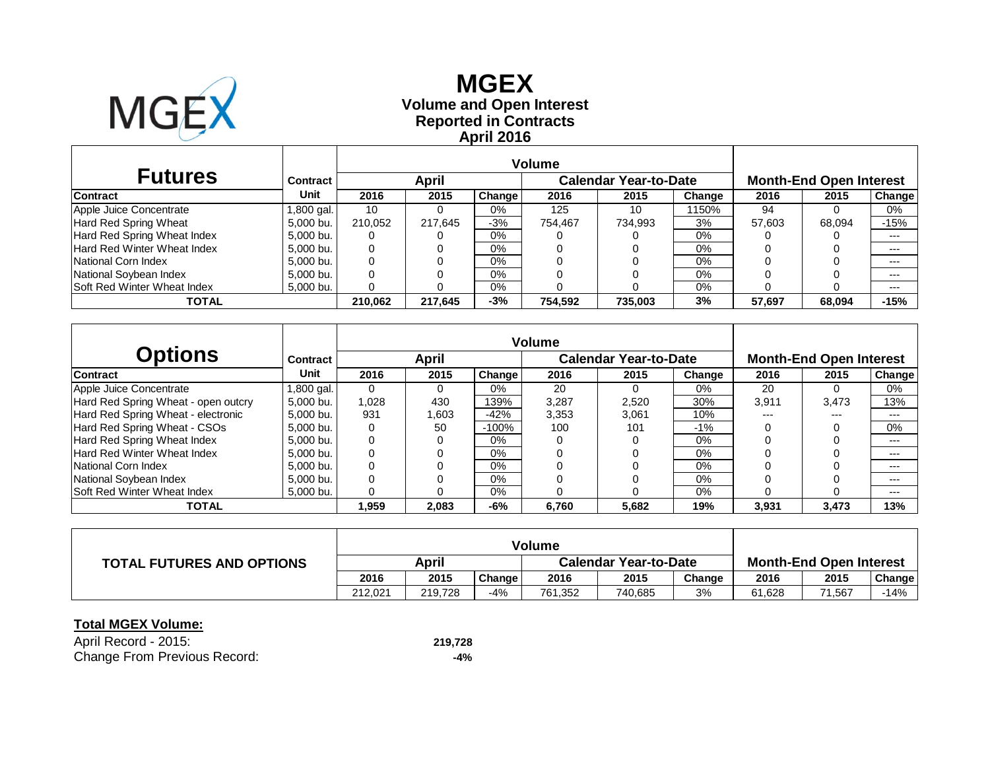

# **Reported in Contracts Volume and Open Interest MGEX April 2016**

| <b>Futures</b>                     | Contract  | April   |         |         | <b>Calendar Year-to-Date</b> |         |        | <b>Month-End Open Interest</b> |        |        |
|------------------------------------|-----------|---------|---------|---------|------------------------------|---------|--------|--------------------------------|--------|--------|
| <b>Contract</b>                    | Unit      | 2016    | 2015    | Change  | 2016                         | 2015    | Change | 2016                           | 2015   | Change |
| Apple Juice Concentrate            | ,800 gal. | 10      |         | 0%      | 125                          | 10      | 150%   | 94                             |        | 0%     |
| Hard Red Spring Wheat              | 5.000 bu. | 210.052 | 217.645 | $-3%$   | 754.467                      | 734,993 | 3%     | 57.603                         | 68.094 | $-15%$ |
| Hard Red Spring Wheat Index        | 5.000 bu. | 0       |         | 0%      |                              |         | $0\%$  |                                |        | $---$  |
| Hard Red Winter Wheat Index        | 5.000 bu. | 0       |         | 0%      |                              |         | 0%     |                                |        | $---$  |
| National Corn Index                | 5.000 bu. |         |         | 0%      |                              |         | 0%     |                                |        | $---$  |
| National Soybean Index             | 5.000 bu. |         |         | 0%      |                              |         | 0%     |                                |        | $---$  |
| Soft Red Winter Wheat Index        | 5,000 bu. |         |         | $0\%$   |                              |         | 0%     |                                |        | $---$  |
| -3%<br>210.062<br>217.645<br>TOTAL |           |         | 754.592 | 735.003 | 3%                           | 57,697  | 68.094 | $-15%$                         |        |        |

|                                     |            | <b>Volume</b> |       |               |       |                              |        |                                |       |        |  |
|-------------------------------------|------------|---------------|-------|---------------|-------|------------------------------|--------|--------------------------------|-------|--------|--|
| <b>Options</b>                      | Contract   |               | April |               |       | <b>Calendar Year-to-Date</b> |        | <b>Month-End Open Interest</b> |       |        |  |
| <b>Contract</b>                     | Unit       | 2016          | 2015  | <b>Change</b> | 2016  | 2015                         | Change | 2016                           | 2015  | Change |  |
| Apple Juice Concentrate             | 1,800 gal. | 0             |       | 0%            | 20    | $\Omega$                     | 0%     | 20                             |       | 0%     |  |
| Hard Red Spring Wheat - open outcry | 5.000 bu.  | 1.028         | 430   | 139%          | 3,287 | 2.520                        | 30%    | 3.911                          | 3.473 | 13%    |  |
| Hard Red Spring Wheat - electronic  | 5.000 bu.  | 931           | 1.603 | $-42%$        | 3,353 | 3,061                        | 10%    | ---                            | ---   | $---$  |  |
| Hard Red Spring Wheat - CSOs        | 5.000 bu.  | 0             | 50    | $-100%$       | 100   | 101                          | $-1\%$ |                                |       | $0\%$  |  |
| Hard Red Spring Wheat Index         | 5.000 bu.  | 0             |       | 0%            |       |                              | $0\%$  |                                |       | ---    |  |
| Hard Red Winter Wheat Index         | 5.000 bu.  | 0             |       | $0\%$         |       |                              | $0\%$  |                                |       | $---$  |  |
| National Corn Index                 | 5.000 bu.  | 0             |       | $0\%$         |       |                              | $0\%$  |                                |       | ---    |  |
| National Sovbean Index              | 5.000 bu.  | 0             |       | $0\%$         |       |                              | $0\%$  |                                |       | $---$  |  |
| <b>Soft Red Winter Wheat Index</b>  | 5.000 bu.  | 0             |       | $0\%$         |       |                              | $0\%$  |                                |       | $---$  |  |
| <b>TOTAL</b>                        |            | 1,959         | 2,083 | -6%           | 6,760 | 5,682                        | 19%    | 3,931                          | 3,473 | 13%    |  |

|                                  | <b>Volume</b> |         |        |                              |         |        |                                |        |        |
|----------------------------------|---------------|---------|--------|------------------------------|---------|--------|--------------------------------|--------|--------|
| <b>TOTAL FUTURES AND OPTIONS</b> | April         |         |        | <b>Calendar Year-to-Date</b> |         |        | <b>Month-End Open Interest</b> |        |        |
|                                  | 2016          | 2015    | Change | 2016                         | 2015    | Change | 2016                           | 2015   | Change |
|                                  | 212.021       | 219.728 | -4%    | 761.352                      | 740,685 | 3%     | 61.628                         | 71.567 | 14%    |

| April Record - 2015:         | 219,728 |
|------------------------------|---------|
| Change From Previous Record: | -4%     |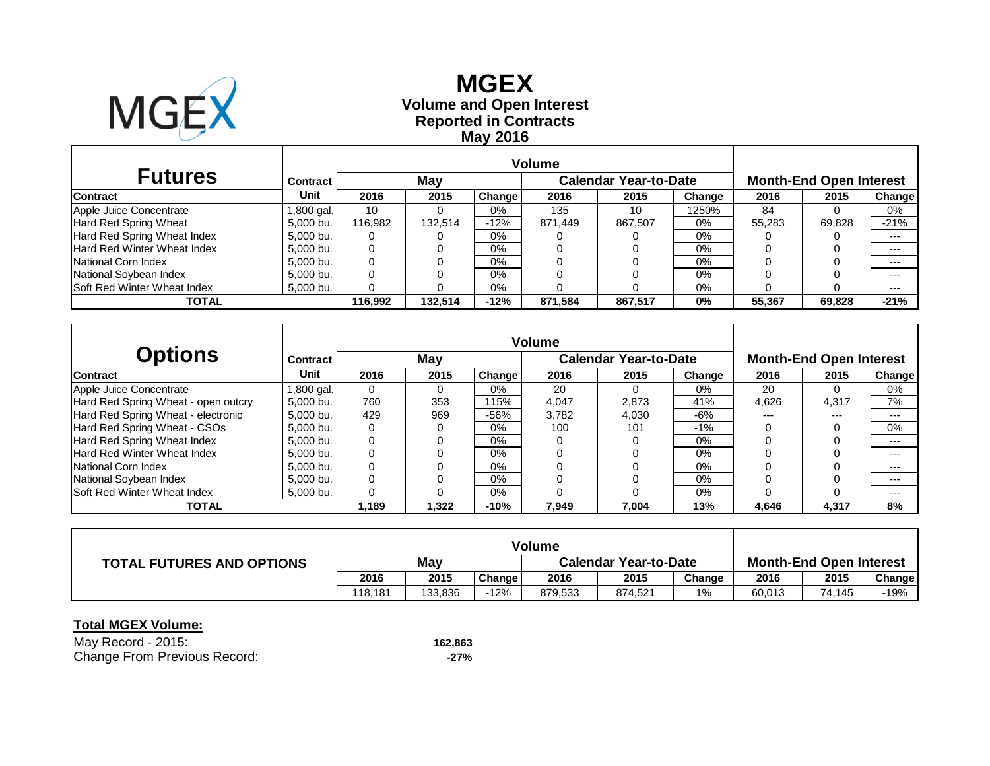

# **Reported in Contracts Volume and Open Interest MGEX May 2016**

| <b>Futures</b>              | Contract   |         | May     |        |         | <b>Calendar Year-to-Date</b> | <b>Month-End Open Interest</b> |        |        |               |
|-----------------------------|------------|---------|---------|--------|---------|------------------------------|--------------------------------|--------|--------|---------------|
| <b>Contract</b>             | Unit       | 2016    | 2015    | Change | 2016    | 2015                         | Change                         | 2016   | 2015   | <b>Change</b> |
| Apple Juice Concentrate     | 1,800 gal. | 10      |         | 0%     | 135     | 10                           | 1250%                          | 84     |        | 0%            |
| Hard Red Spring Wheat       | 5,000 bu.  | 116.982 | 132.514 | $-12%$ | 871.449 | 867,507                      | 0%                             | 55.283 | 69.828 | $-21%$        |
| Hard Red Spring Wheat Index | 5,000 bu.  | 0       |         | 0%     |         |                              | 0%                             |        |        | $---$         |
| Hard Red Winter Wheat Index | 5.000 bu.  | 0       |         | 0%     |         |                              | 0%                             |        |        | $---$         |
| National Corn Index         | 5.000 bu.  | 0       |         | 0%     |         |                              | $0\%$                          |        |        | $---$         |
| National Soybean Index      | 5.000 bu.  | 0       |         | 0%     |         |                              | 0%                             |        |        | $---$         |
| Soft Red Winter Wheat Index | 5,000 bu.  | 0       |         | 0%     |         |                              | 0%                             |        |        | $---$         |
| TOTAL                       |            | 116.992 | 132.514 | $-12%$ | 871.584 | 867,517                      | 0%                             | 55,367 | 69,828 | $-21%$        |

|                                     |           |          |       |        | <b>Volume</b> |                              |        |                                |       |        |  |
|-------------------------------------|-----------|----------|-------|--------|---------------|------------------------------|--------|--------------------------------|-------|--------|--|
| <b>Options</b>                      | Contract  |          | May   |        |               | <b>Calendar Year-to-Date</b> |        | <b>Month-End Open Interest</b> |       |        |  |
| Contract                            | Unit      | 2016     | 2015  | Change | 2016          | 2015                         | Change | 2016                           | 2015  | Change |  |
| Apple Juice Concentrate             | 800 gal.  | $\Omega$ |       | $0\%$  | 20            |                              | 0%     | 20                             |       | 0%     |  |
| Hard Red Spring Wheat - open outcry | 5.000 bu. | 760      | 353   | 115%   | 4,047         | 2,873                        | 41%    | 4,626                          | 4,317 | 7%     |  |
| Hard Red Spring Wheat - electronic  | 5.000 bu. | 429      | 969   | -56%   | 3.782         | 4.030                        | $-6%$  | $---$                          | ---   | ---    |  |
| Hard Red Spring Wheat - CSOs        | 5.000 bu. | 0        | 0     | 0%     | 100           | 101                          | $-1\%$ |                                |       | 0%     |  |
| Hard Red Spring Wheat Index         | 5.000 bu. | 0        |       | $0\%$  |               |                              | 0%     |                                |       | $---$  |  |
| Hard Red Winter Wheat Index         | 5.000 bu. | $\Omega$ |       | 0%     |               |                              | $0\%$  |                                |       | ---    |  |
| National Corn Index                 | 5.000 bu. | 0        |       | 0%     |               |                              | $0\%$  |                                |       | $---$  |  |
| National Soybean Index              | 5.000 bu. | $\Omega$ |       | 0%     |               |                              | $0\%$  |                                |       | $---$  |  |
| Soft Red Winter Wheat Index         | 5.000 bu. | 0        |       | 0%     |               |                              | 0%     |                                |       | $---$  |  |
| <b>TOTAL</b>                        |           | 1,189    | 1,322 | $-10%$ | 7,949         | 7.004                        | 13%    | 4,646                          | 4,317 | 8%     |  |

|                                  | <b>Volume</b> |         |        |                              |         |        |                                |        |        |
|----------------------------------|---------------|---------|--------|------------------------------|---------|--------|--------------------------------|--------|--------|
| <b>TOTAL FUTURES AND OPTIONS</b> | Mav           |         |        | <b>Calendar Year-to-Date</b> |         |        | <b>Month-End Open Interest</b> |        |        |
|                                  | 2016          | 2015    | Change | 2016                         | 2015    | Change | 2016                           | 2015   | Change |
|                                  | 118.181       | 133.836 | $-12%$ | 879,533                      | 874,521 | 1%     | 60,013                         | 74.145 | $-19%$ |

| May Record - 2015:           | 162,863 |
|------------------------------|---------|
| Change From Previous Record: | -27%    |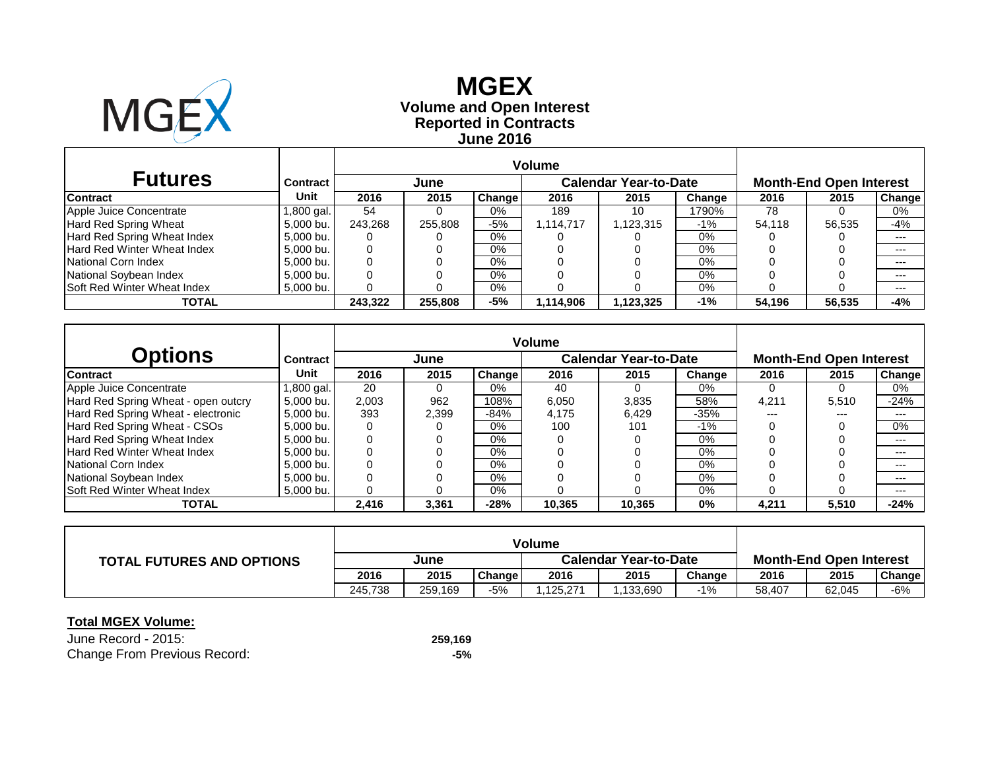

# **Reported in Contracts Volume and Open Interest MGEX June 2016**

| <b>Futures</b>                     | Contract   |         | June    |               |           | <b>Calendar Year-to-Date</b> | <b>Month-End Open Interest</b> |        |        |               |
|------------------------------------|------------|---------|---------|---------------|-----------|------------------------------|--------------------------------|--------|--------|---------------|
| <b>Contract</b>                    | Unit       | 2016    | 2015    | <b>Change</b> | 2016      | 2015                         | Change                         | 2016   | 2015   | <b>Change</b> |
| Apple Juice Concentrate            | 1,800 gal. | 54      |         | 0%            | 189       | 10                           | 1790%                          | 78     |        | 0%            |
| Hard Red Spring Wheat              | 5,000 bu.  | 243.268 | 255,808 | -5%           | 1.114.717 | .123,315                     | -1%                            | 54.118 | 56.535 | -4%           |
| Hard Red Spring Wheat Index        | 5,000 bu.  |         |         | $0\%$         |           |                              | 0%                             |        |        | $---$         |
| Hard Red Winter Wheat Index        | 5,000 bu.  |         |         | $0\%$         |           |                              | $0\%$                          |        |        | $--$          |
| National Corn Index                | 5,000 bu.  |         |         | $0\%$         |           |                              | $0\%$                          |        |        | $---$         |
| National Soybean Index             | 5,000 bu.  |         |         | $0\%$         |           |                              | 0%                             |        |        | $---$         |
| <b>Soft Red Winter Wheat Index</b> | 5,000 bu.  |         |         | $0\%$         |           |                              | 0%                             |        |        | $---$         |
| <b>TOTAL</b>                       |            | 243.322 | 255,808 | -5%           | 1,114,906 | 1,123,325                    | $-1%$                          | 54.196 | 56,535 | -4%           |

| Options                             | <b>Contract</b> |       | June  |               |        | <b>Calendar Year-to-Date</b> | <b>Month-End Open Interest</b> |       |       |               |
|-------------------------------------|-----------------|-------|-------|---------------|--------|------------------------------|--------------------------------|-------|-------|---------------|
| <b>Contract</b>                     | Unit            | 2016  | 2015  | <b>Change</b> | 2016   | 2015                         | Change                         | 2016  | 2015  | <b>Change</b> |
| Apple Juice Concentrate             | .800 gal.       | 20    |       | 0%            | 40     |                              | 0%                             |       | 0     | 0%            |
| Hard Red Spring Wheat - open outcry | 5.000 bu.       | 2,003 | 962   | 108%          | 6,050  | 3.835                        | 58%                            | 4.211 | 5,510 | $-24%$        |
| Hard Red Spring Wheat - electronic  | 5.000 bu.       | 393   | 2.399 | $-84%$        | 4.175  | 6.429                        | $-35%$                         | ---   | ---   | ---           |
| Hard Red Spring Wheat - CSOs        | 5.000 bu.       |       |       | $0\%$         | 100    | 101                          | $-1%$                          |       |       | 0%            |
| Hard Red Spring Wheat Index         | 5.000 bu.       |       |       | $0\%$         |        |                              | 0%                             |       |       | ---           |
| Hard Red Winter Wheat Index         | 5,000 bu.       | 0     |       | 0%            |        |                              | 0%                             |       |       | ---           |
| National Corn Index                 | 5.000 bu.       |       |       | 0%            |        |                              | 0%                             |       |       | ---           |
| National Soybean Index              | 5.000 bu.       |       |       | 0%            |        |                              | 0%                             |       |       | ---           |
| <b>Soft Red Winter Wheat Index</b>  | 5,000 bu.       |       |       | $0\%$         |        |                              | 0%                             |       |       | ---           |
| <b>TOTAL</b>                        |                 | 2,416 | 3,361 | $-28%$        | 10.365 | 10.365                       | 0%                             | 4,211 | 5,510 | $-24%$        |

|                                  | Volume  |         |        |                       |          |        |                                |        |               |
|----------------------------------|---------|---------|--------|-----------------------|----------|--------|--------------------------------|--------|---------------|
| <b>TOTAL FUTURES AND OPTIONS</b> | June    |         |        | Calendar Year-to-Date |          |        | <b>Month-End Open Interest</b> |        |               |
|                                  | 2016    | 2015    | Change | 2016                  | 2015     | Change | 2016                           | 2015   | <b>Change</b> |
|                                  | 245.738 | 259.169 | -5%    | .125.271              | .133.690 | $-1%$  | 58,407                         | 62.045 | -6%           |

| June Record - 2015:          | 259,169 |
|------------------------------|---------|
| Change From Previous Record: | -5%     |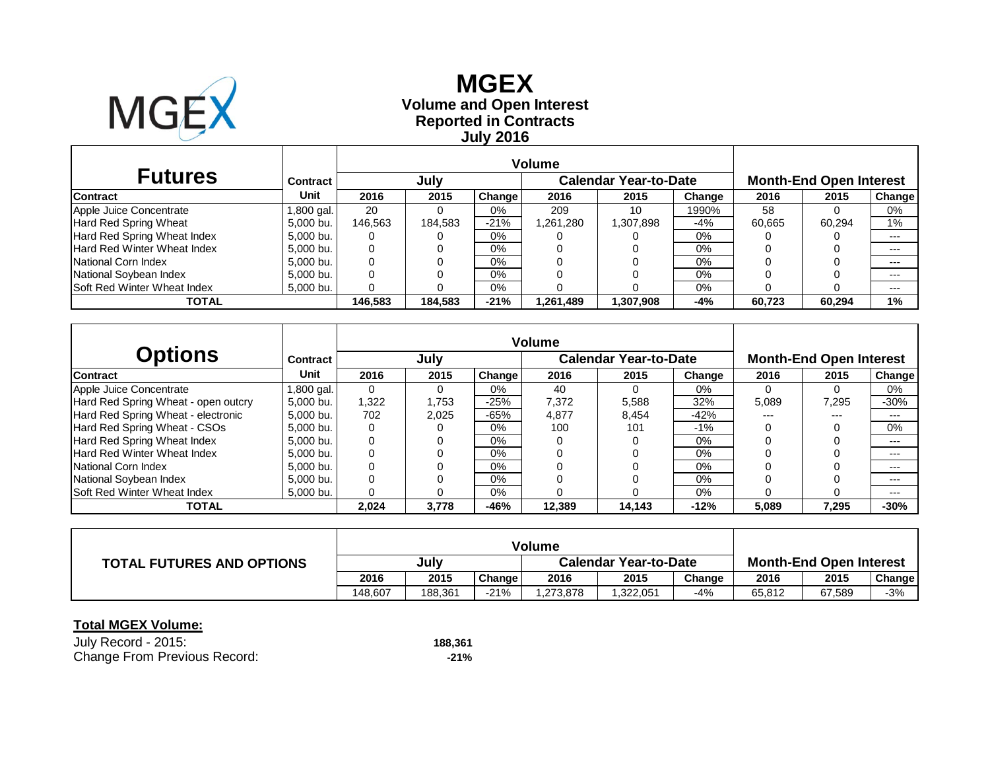

# **Reported in Contracts Volume and Open Interest MGEX July 2016**

| <b>Futures</b>              | Contract   |         | July    |        |           | <b>Calendar Year-to-Date</b> | <b>Month-End Open Interest</b> |        |        |               |
|-----------------------------|------------|---------|---------|--------|-----------|------------------------------|--------------------------------|--------|--------|---------------|
| <b>Contract</b>             | Unit       | 2016    | 2015    | Change | 2016      | 2015                         | Change                         | 2016   | 2015   | <b>Change</b> |
| Apple Juice Concentrate     | 1,800 gal. | 20      |         | 0%     | 209       | 10                           | 990%                           | 58     |        | 0%            |
| Hard Red Spring Wheat       | 5,000 bu.  | 146.563 | 184.583 | $-21%$ | .261,280  | 898,707 ا                    | -4%                            | 60.665 | 60.294 | 1%            |
| Hard Red Spring Wheat Index | 5,000 bu.  | 0       |         | 0%     |           |                              | 0%                             |        |        | $---$         |
| Hard Red Winter Wheat Index | 5.000 bu.  | 0       |         | 0%     |           |                              | 0%                             |        |        | $---$         |
| National Corn Index         | 5.000 bu.  | 0       |         | 0%     |           |                              | 0%                             |        |        | $---$         |
| National Soybean Index      | 5.000 bu.  | 0       |         | 0%     |           |                              | 0%                             |        |        | $---$         |
| Soft Red Winter Wheat Index | 5,000 bu.  | 0       |         | 0%     |           |                              | 0%                             |        |        | $---$         |
| TOTAL                       |            | 146,583 | 184.583 | $-21%$ | 1,261,489 | 1,307,908                    | -4%                            | 60.723 | 60.294 | 1%            |

|                                     |            | <b>Volume</b> |       |        |        |                              |        |                                |       |        |  |
|-------------------------------------|------------|---------------|-------|--------|--------|------------------------------|--------|--------------------------------|-------|--------|--|
| <b>Options</b>                      | Contract   |               | July  |        |        | <b>Calendar Year-to-Date</b> |        | <b>Month-End Open Interest</b> |       |        |  |
| <b>Contract</b>                     | Unit       | 2016          | 2015  | Change | 2016   | 2015                         | Change | 2016                           | 2015  | Change |  |
| Apple Juice Concentrate             | 1,800 gal. | 0             |       | 0%     | 40     |                              | 0%     |                                | 0     | 0%     |  |
| Hard Red Spring Wheat - open outcry | 5.000 bu.  | 1.322         | 1.753 | $-25%$ | 7.372  | 5,588                        | 32%    | 5,089                          | 7.295 | $-30%$ |  |
| Hard Red Spring Wheat - electronic  | 5.000 bu.  | 702           | 2.025 | $-65%$ | 4.877  | 8,454                        | $-42%$ | ---                            | ---   | $---$  |  |
| Hard Red Spring Wheat - CSOs        | 5.000 bu.  | 0             |       | $0\%$  | 100    | 101                          | $-1\%$ |                                |       | $0\%$  |  |
| Hard Red Spring Wheat Index         | 5.000 bu.  | 0             |       | $0\%$  |        |                              | $0\%$  |                                |       | $---$  |  |
| Hard Red Winter Wheat Index         | 5.000 bu.  | 0             |       | $0\%$  |        |                              | $0\%$  |                                |       | $---$  |  |
| National Corn Index                 | 5.000 bu.  | 0             |       | $0\%$  |        |                              | $0\%$  |                                |       | $---$  |  |
| National Soybean Index              | 5.000 bu.  | 0             |       | $0\%$  |        |                              | $0\%$  |                                |       | $---$  |  |
| <b>Soft Red Winter Wheat Index</b>  | 5.000 bu.  | 0             |       | $0\%$  |        |                              | 0%     |                                |       | $---$  |  |
| <b>TOTAL</b>                        |            | 2,024         | 3.778 | $-46%$ | 12.389 | 14.143                       | $-12%$ | 5,089                          | 7.295 | $-30%$ |  |

|                                  | <b>Volume</b> |         |        |                              |          |        |                                |        |        |  |
|----------------------------------|---------------|---------|--------|------------------------------|----------|--------|--------------------------------|--------|--------|--|
| <b>TOTAL FUTURES AND OPTIONS</b> | July          |         |        | <b>Calendar Year-to-Date</b> |          |        | <b>Month-End Open Interest</b> |        |        |  |
|                                  | 2016          | 2015    | Change | 2016                         | 2015     | Change | 2016                           | 2015   | Change |  |
|                                  | 148.607       | 188.361 | $-21%$ | ,273,878                     | ,322,051 | -4%    | 65,812                         | 67,589 | $-3%$  |  |

| July Record - 2015:          | 188.361 |
|------------------------------|---------|
| Change From Previous Record: | -21%    |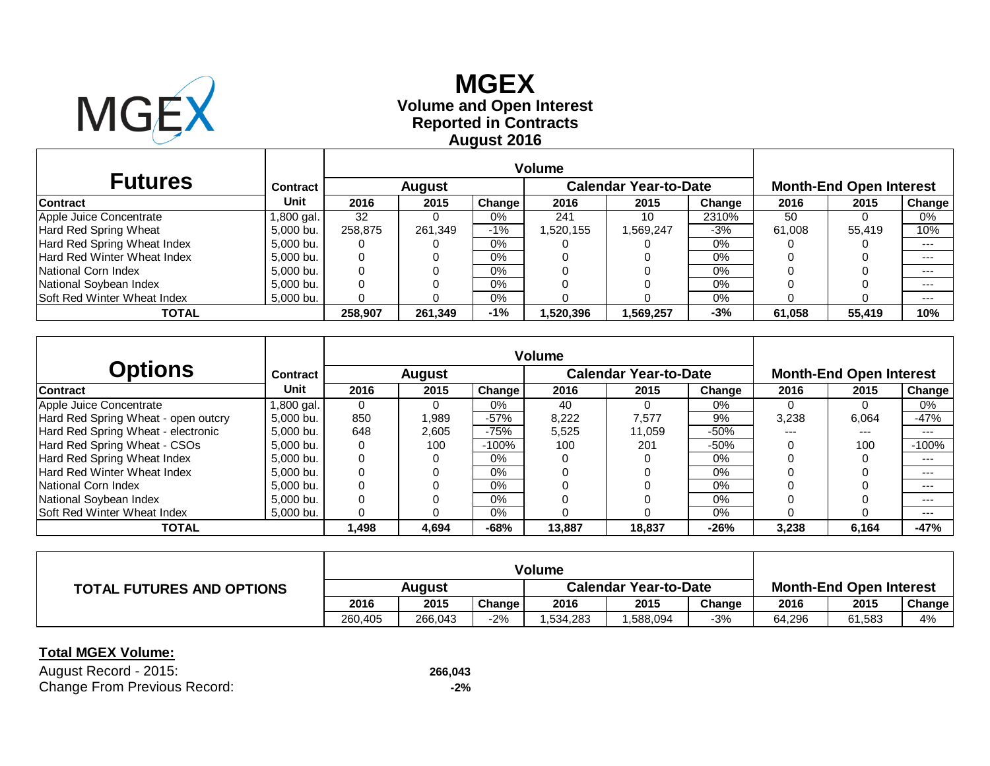

# **Reported in Contracts Volume and Open Interest MGEX August 2016**

|                                    |                 |              | <b>Volume</b> |               |          |                              |        |        |                                |         |
|------------------------------------|-----------------|--------------|---------------|---------------|----------|------------------------------|--------|--------|--------------------------------|---------|
| <b>Futures</b>                     | <b>Contract</b> |              | <b>August</b> |               |          | <b>Calendar Year-to-Date</b> |        |        | <b>Month-End Open Interest</b> |         |
| <b>Contract</b>                    | Unit            | 2016         | 2015          | <b>Change</b> | 2016     | 2015                         | Change | 2016   | 2015                           | Change  |
| Apple Juice Concentrate            | 1,800 gal.      | 32           |               | $0\%$         | 241      | 10                           | 2310%  | 50     |                                | 0%      |
| Hard Red Spring Wheat              | 5,000 bu.       | 258.875      | 261,349       | $-1%$         | .520,155 | .569,247                     | -3%    | 61.008 | 55.419                         | 10%     |
| Hard Red Spring Wheat Index        | 5,000 bu.       | O            |               | $0\%$         |          |                              | $0\%$  |        |                                | $--$    |
| lHard Red Winter Wheat Index       | 5,000 bu.       | $\mathbf{0}$ |               | $0\%$         |          |                              | $0\%$  |        |                                | $--$    |
| National Corn Index                | 5,000 bu.       | 0            |               | $0\%$         |          |                              | $0\%$  |        |                                | $--$    |
| National Soybean Index             | 5,000 bu.       | U            |               | $0\%$         |          |                              | $0\%$  |        |                                | $- - -$ |
| <b>Soft Red Winter Wheat Index</b> | 5,000 bu.       |              |               | $0\%$         |          |                              | $0\%$  |        |                                | $--$    |
| <b>TOTAL</b>                       |                 | 258,907      | 261,349       | $-1%$         | .520.396 | .569,257                     | -3%    | 61,058 | 55,419                         | 10%     |

|                                     |                 |          |          |               | <b>Volume</b> |                              |        |                                |       |         |  |
|-------------------------------------|-----------------|----------|----------|---------------|---------------|------------------------------|--------|--------------------------------|-------|---------|--|
| <b>Options</b>                      | <b>Contract</b> |          | August   |               |               | <b>Calendar Year-to-Date</b> |        | <b>Month-End Open Interest</b> |       |         |  |
| <b>Contract</b>                     | <b>Unit</b>     | 2016     | 2015     | <b>Change</b> | 2016          | 2015                         | Change | 2016                           | 2015  | Change  |  |
| Apple Juice Concentrate             | .800 gal.       | $\Omega$ | $\Omega$ | $0\%$         | 40            |                              | $0\%$  | $\Omega$                       |       | $0\%$   |  |
| Hard Red Spring Wheat - open outcry | 5,000 bu.       | 850      | 1,989    | $-57%$        | 8,222         | 7.577                        | 9%     | 3,238                          | 6,064 | $-47%$  |  |
| Hard Red Spring Wheat - electronic  | 5,000 bu.       | 648      | 2,605    | $-75%$        | 5,525         | 11,059                       | $-50%$ | ---                            | ---   | $---$   |  |
| Hard Red Spring Wheat - CSOs        | 5,000 bu.       | 0        | 100      | $-100%$       | 100           | 201                          | $-50%$ |                                | 100   | $-100%$ |  |
| Hard Red Spring Wheat Index         | 5.000 bu.       | $\Omega$ | 0        | 0%            |               |                              | $0\%$  |                                |       | $--$    |  |
| Hard Red Winter Wheat Index         | 5.000 bu.       | 0        |          | $0\%$         |               |                              | $0\%$  |                                |       | $--$    |  |
| National Corn Index                 | 5.000 bu.       | 0        |          | $0\%$         |               |                              | $0\%$  |                                |       | $--$    |  |
| National Soybean Index              | 5,000 bu.       |          |          | $0\%$         |               |                              | $0\%$  |                                |       | $--$    |  |
| <b>Soft Red Winter Wheat Index</b>  | 5.000 bu.       | 0        |          | $0\%$         |               |                              | $0\%$  |                                |       | $--$    |  |
| <b>TOTAL</b>                        |                 | 1.498    | 4.694    | $-68%$        | 13,887        | 18.837                       | $-26%$ | 3,238                          | 6.164 | -47%    |  |

| <b>TOTAL FUTURES AND OPTIONS</b> | Auaust  |         |        | <b>Calendar Year-to-Date</b> |          |        | <b>Month-End Open Interest</b> |        |                     |  |
|----------------------------------|---------|---------|--------|------------------------------|----------|--------|--------------------------------|--------|---------------------|--|
|                                  | 2016    | 2015    | Change | 2016                         | 2015     | Change | 2016                           | 2015   | Change <sub>1</sub> |  |
|                                  | 260.405 | 266.043 | $-2%$  | .534.283                     | .588,094 | $-3%$  | 64.296                         | 61,583 | 4%                  |  |

#### **Total MGEX Volume:**

August Record - 2015: **266,043** Change From Previous Record: **-2%**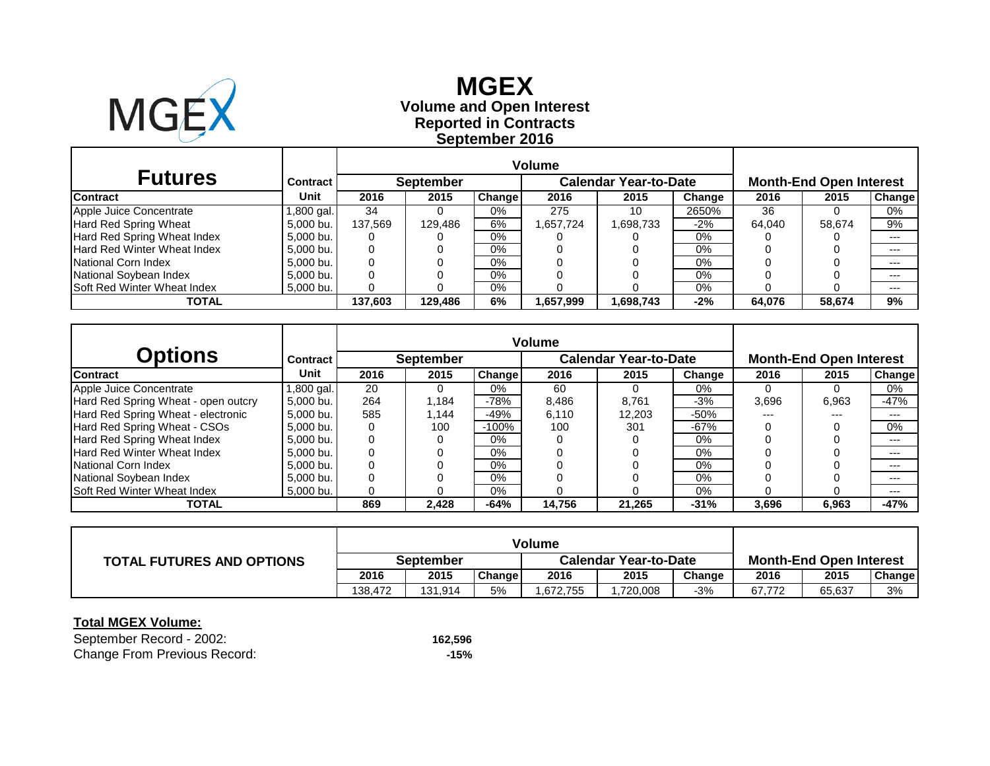

**Reported in Contracts Volume and Open Interest MGEX September 2016**

| <b>Futures</b>              | <b>Contract</b> I |         | <b>September</b> |               |          | <b>Calendar Year-to-Date</b> |        | <b>Month-End Open Interest</b> |        |         |  |
|-----------------------------|-------------------|---------|------------------|---------------|----------|------------------------------|--------|--------------------------------|--------|---------|--|
| <b>Contract</b>             | Unit              | 2016    | 2015             | <b>Change</b> | 2016     | 2015                         | Change | 2016                           | 2015   | Change  |  |
| Apple Juice Concentrate     | ,800 gal.         | 34      |                  | $0\%$         | 275      | 10                           | 2650%  | 36                             |        | 0%      |  |
| Hard Red Spring Wheat       | 5,000 bu.         | 137,569 | 129,486          | 6%            | ,657,724 | 1,698,733                    | $-2\%$ | 64,040                         | 58,674 | 9%      |  |
| Hard Red Spring Wheat Index | 5,000 bu.         |         |                  | $0\%$         |          |                              | 0%     |                                |        | $- - -$ |  |
| Hard Red Winter Wheat Index | 5,000 bu.         |         |                  | $0\%$         |          |                              | 0%     |                                |        | $- - -$ |  |
| National Corn Index         | 5,000 bu.         |         |                  | 0%            |          |                              | 0%     |                                |        | $- - -$ |  |
| National Soybean Index      | 5,000 bu.         |         |                  | $0\%$         |          |                              | 0%     |                                |        | $- - -$ |  |
| Soft Red Winter Wheat Index | 5,000 bu.         |         |                  | 0%            |          |                              | 0%     |                                |        | $- - -$ |  |
| <b>TOTAL</b>                |                   | 137,603 | 129,486          | 6%            | ,657,999 | 698,743                      | $-2\%$ | 64,076                         | 58,674 | 9%      |  |

| <b>Options</b>                      | Contract   |      | <b>September</b> |         |        | <b>Calendar Year-to-Date</b> |        | <b>Month-End Open Interest</b> |       |         |  |
|-------------------------------------|------------|------|------------------|---------|--------|------------------------------|--------|--------------------------------|-------|---------|--|
| <b>Contract</b>                     | Unit       | 2016 | 2015             | Change  | 2016   | 2015                         | Change | 2016                           | 2015  | Change  |  |
| Apple Juice Concentrate             | 1,800 gal. | 20   | 0                | $0\%$   | 60     | 0                            | 0%     |                                |       | $0\%$   |  |
| Hard Red Spring Wheat - open outcry | 5,000 bu.  | 264  | 1,184            | $-78%$  | 8,486  | 8,761                        | $-3%$  | 3,696                          | 6,963 | $-47%$  |  |
| Hard Red Spring Wheat - electronic  | 5,000 bu.  | 585  | 1,144            | $-49%$  | 6,110  | 12,203                       | $-50%$ | ---                            | ---   | $---$   |  |
| Hard Red Spring Wheat - CSOs        | 5,000 bu.  |      | 100              | $-100%$ | 100    | 301                          | $-67%$ |                                |       | $0\%$   |  |
| Hard Red Spring Wheat Index         | 5,000 bu.  | 0    |                  | 0%      |        |                              | $0\%$  |                                |       | $- - -$ |  |
| Hard Red Winter Wheat Index         | 5,000 bu.  |      |                  | 0%      |        |                              | 0%     |                                |       | $- - -$ |  |
| National Corn Index                 | 5,000 bu.  | 0    |                  | $0\%$   |        |                              | $0\%$  |                                |       | $- - -$ |  |
| National Soybean Index              | 5,000 bu.  |      |                  | $0\%$   |        |                              | $0\%$  |                                |       | $- - -$ |  |
| Soft Red Winter Wheat Index         | 5,000 bu.  |      |                  | $0\%$   |        |                              | 0%     |                                |       | $- - -$ |  |
| <b>TOTAL</b>                        |            | 869  | 2,428            | $-64%$  | 14,756 | 21,265                       | $-31%$ | 3,696                          | 6,963 | $-47%$  |  |

|                                  | Volume    |         |        |                              |          |        |                                |        |               |  |
|----------------------------------|-----------|---------|--------|------------------------------|----------|--------|--------------------------------|--------|---------------|--|
| <b>TOTAL FUTURES AND OPTIONS</b> | September |         |        | <b>Calendar Year-to-Date</b> |          |        | <b>Month-End Open Interest</b> |        |               |  |
|                                  | 2016      | 2015    | Change | 2016                         | 2015     | Change | 2016                           | 2015   | <b>Change</b> |  |
|                                  | 138,472   | 131,914 | 5%     | ,672,755                     | ,720,008 | $-3%$  | 67.772                         | 65,637 | 3%            |  |

### **Total MGEX Volume:**

September Record - 2002: **162,596** Change From Previous Record: **-15%**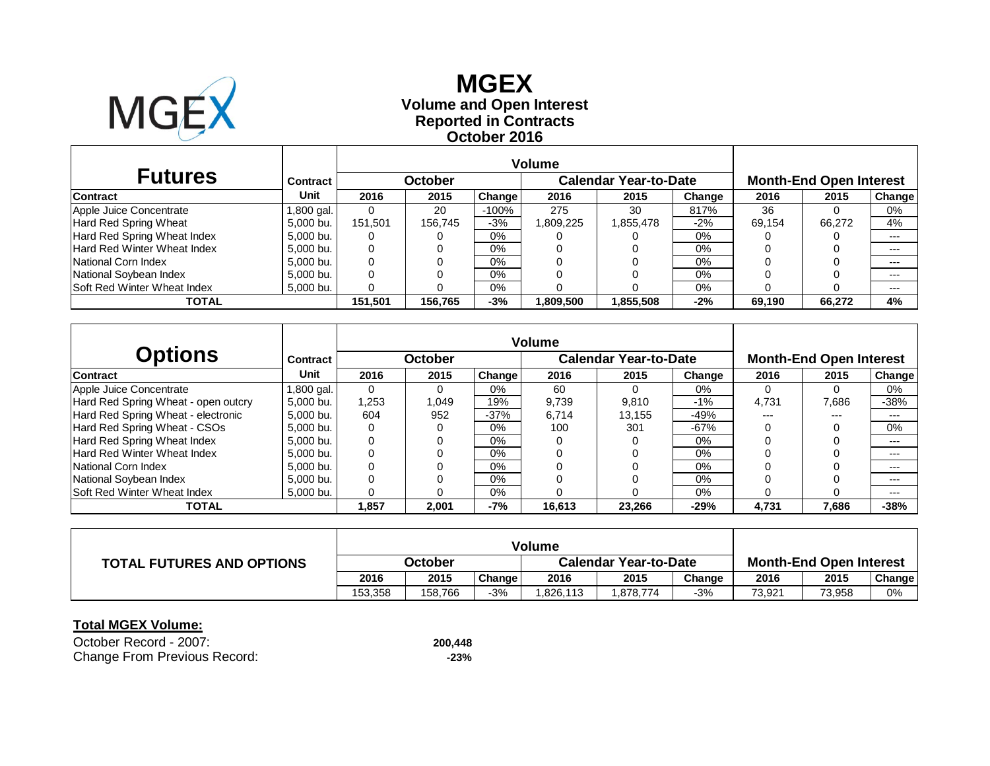

### **Reported in Contracts Volume and Open Interest MGEXOctober 2016**

| <b>Futures</b>                     | Contract I |         | October |         |          | Calendar Year-to-Date |        | <b>Month-End Open Interest</b> |        |        |  |
|------------------------------------|------------|---------|---------|---------|----------|-----------------------|--------|--------------------------------|--------|--------|--|
| <b>Contract</b>                    | Unit       | 2016    | 2015    | Change  | 2016     | 2015                  | Change | 2016                           | 2015   | Change |  |
| Apple Juice Concentrate            | 1,800 gal. |         | 20      | $-100%$ | 275      | 30                    | 817%   | 36                             |        | 0%     |  |
| Hard Red Spring Wheat              | 5.000 bu.  | 151.501 | 156.745 | $-3%$   | .809,225 | 1,855,478             | $-2%$  | 69.154                         | 66.272 | 4%     |  |
| Hard Red Spring Wheat Index        | 5.000 bu.  |         |         | 0%      |          |                       | $0\%$  |                                |        | $---$  |  |
| Hard Red Winter Wheat Index        | 5.000 bu.  |         |         | 0%      |          |                       | 0%     |                                |        | $---$  |  |
| National Corn Index                | 5.000 bu.  |         |         | 0%      |          |                       | 0%     |                                |        | $---$  |  |
| National Soybean Index             | 5.000 bu.  |         |         | $0\%$   |          |                       | 0%     |                                |        | $---$  |  |
| <b>Soft Red Winter Wheat Index</b> | 5,000 bu.  |         |         | $0\%$   |          |                       | 0%     |                                |        | $---$  |  |
| <b>TOTAL</b>                       |            | 151,501 | 156,765 | $-3%$   | ,809,500 | 1,855,508             | $-2%$  | 69.190                         | 66,272 | 4%     |  |

| Options                             | Contract    |          | October |        |        | <b>Calendar Year-to-Date</b> |        | <b>Month-End Open Interest</b> |       |        |  |
|-------------------------------------|-------------|----------|---------|--------|--------|------------------------------|--------|--------------------------------|-------|--------|--|
| <b>Contract</b>                     | <b>Unit</b> | 2016     | 2015    | Change | 2016   | 2015                         | Change | 2016                           | 2015  | Change |  |
| Apple Juice Concentrate             | l .800 gal. | $\Omega$ |         | 0%     | 60     | $\Omega$                     | 0%     |                                |       | 0%     |  |
| Hard Red Spring Wheat - open outcry | 5.000 bu.   | 1,253    | 0.049   | 19%    | 9,739  | 9,810                        | $-1%$  | 4.731                          | 7.686 | $-38%$ |  |
| Hard Red Spring Wheat - electronic  | 5.000 bu.   | 604      | 952     | $-37%$ | 6.714  | 13.155                       | -49%   | ---                            | ---   | ---    |  |
| Hard Red Spring Wheat - CSOs        | 5.000 bu.   | 0        |         | 0%     | 100    | 301                          | $-67%$ |                                |       | $0\%$  |  |
| Hard Red Spring Wheat Index         | 5.000 bu.   | 0        |         | $0\%$  |        |                              | $0\%$  |                                |       | ---    |  |
| Hard Red Winter Wheat Index         | 5.000 bu.   | 0        |         | $0\%$  |        |                              | $0\%$  |                                |       | $---$  |  |
| National Corn Index                 | 5.000 bu.   |          |         | $0\%$  |        |                              | $0\%$  |                                |       | $---$  |  |
| National Soybean Index              | 5.000 bu.   |          |         | 0%     |        |                              | $0\%$  |                                |       | ---    |  |
| <b>Soft Red Winter Wheat Index</b>  | 5.000 bu.   |          |         | 0%     |        |                              | 0%     |                                |       | $---$  |  |
| <b>TOTAL</b>                        |             | 1,857    | 2,001   | $-7%$  | 16,613 | 23.266                       | $-29%$ | 4.731                          | 7,686 | $-38%$ |  |

|                                  | <b>Volume</b> |         |        |                              |         |        |                                |        |        |  |
|----------------------------------|---------------|---------|--------|------------------------------|---------|--------|--------------------------------|--------|--------|--|
| <b>TOTAL FUTURES AND OPTIONS</b> | October       |         |        | <b>Calendar Year-to-Date</b> |         |        | <b>Month-End Open Interest</b> |        |        |  |
|                                  | 2016          | 2015    | Change | 2016                         | 2015    | Change | 2016                           | 2015   | Change |  |
|                                  | 153.358       | 158.766 | $-3%$  | .826,113                     | 878,774 | -3%    | 73,921                         | 73,958 | 0%     |  |

| October Record - 2007:       | 200.448 |
|------------------------------|---------|
| Change From Previous Record: | -23%    |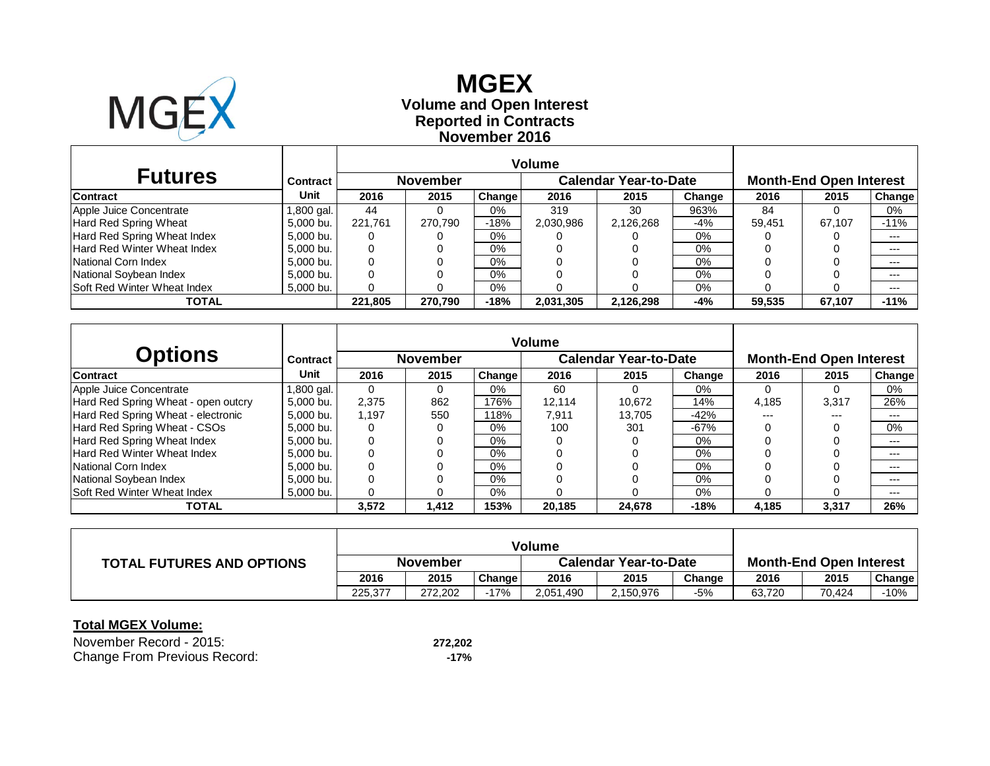

### **Reported in Contracts Volume and Open Interest MGEXNovember 2016**

| <b>Futures</b>                     | <b>Contract</b> |         | <b>November</b> |               |           | <b>Calendar Year-to-Date</b> |        |        | <b>Month-End Open Interest</b> |        |
|------------------------------------|-----------------|---------|-----------------|---------------|-----------|------------------------------|--------|--------|--------------------------------|--------|
| <b>Contract</b>                    | Unit            | 2016    | 2015            | <b>Change</b> | 2016      | 2015                         | Change | 2016   | 2015                           | Change |
| Apple Juice Concentrate            | 1,800 gal.      | 44      |                 | $0\%$         | 319       | 30                           | 963%   | 84     |                                | 0%     |
| Hard Red Spring Wheat              | 5,000 bu.       | 221.761 | 270.790         | $-18%$        | 2,030,986 | 2,126,268                    | $-4%$  | 59,451 | 67.107                         | $-11%$ |
| Hard Red Spring Wheat Index        | 5,000 bu.       |         |                 | $0\%$         |           |                              | 0%     |        |                                | $---$  |
| Hard Red Winter Wheat Index        | 5,000 bu.       |         |                 | $0\%$         |           |                              | 0%     |        |                                | $---$  |
| National Corn Index                | 5,000 bu.       |         |                 | $0\%$         |           |                              | 0%     |        |                                | $---$  |
| National Soybean Index             | 5.000 bu.       |         |                 | $0\%$         |           |                              | 0%     |        |                                | $---$  |
| <b>Soft Red Winter Wheat Index</b> | 5,000 bu.       |         |                 | $0\%$         |           |                              | 0%     |        |                                | $---$  |
| <b>TOTAL</b>                       |                 | 221,805 | 270,790         | $-18%$        | 2,031,305 | 2,126,298                    | -4%    | 59.535 | 67,107                         | $-11%$ |

|                                     |            | <b>Volume</b> |                 |               |        |                              |        |       |                                |        |
|-------------------------------------|------------|---------------|-----------------|---------------|--------|------------------------------|--------|-------|--------------------------------|--------|
| <b>Options</b>                      | Contract   |               | <b>November</b> |               |        | <b>Calendar Year-to-Date</b> |        |       | <b>Month-End Open Interest</b> |        |
| <b>Contract</b>                     | Unit       | 2016          | 2015            | <b>Change</b> | 2016   | 2015                         | Change | 2016  | 2015                           | Change |
| Apple Juice Concentrate             | 1,800 gal. | 0             |                 | $0\%$         | 60     | $\Omega$                     | 0%     |       |                                | 0%     |
| Hard Red Spring Wheat - open outcry | 5,000 bu.  | 2,375         | 862             | 176%          | 12.114 | 10.672                       | 14%    | 4,185 | 3,317                          | 26%    |
| Hard Red Spring Wheat - electronic  | 5.000 bu.  | 1.197         | 550             | 118%          | 7.911  | 13.705                       | $-42%$ | ---   | ---                            | ---    |
| Hard Red Spring Wheat - CSOs        | 5.000 bu.  | 0             |                 | $0\%$         | 100    | 301                          | $-67%$ |       |                                | 0%     |
| Hard Red Spring Wheat Index         | 5.000 bu.  |               |                 | $0\%$         |        |                              | $0\%$  |       |                                | ---    |
| Hard Red Winter Wheat Index         | 5.000 bu.  |               |                 | $0\%$         |        |                              | $0\%$  |       |                                | $---$  |
| National Corn Index                 | 5.000 bu.  |               |                 | $0\%$         |        |                              | $0\%$  |       |                                | $---$  |
| National Sovbean Index              | 5.000 bu.  |               |                 | $0\%$         |        |                              | $0\%$  |       |                                | ---    |
| <b>Soft Red Winter Wheat Index</b>  | 5.000 bu.  |               |                 | 0%            |        |                              | 0%     |       |                                | ---    |
| <b>TOTAL</b>                        |            | 3,572         | 1,412           | 153%          | 20,185 | 24.678                       | $-18%$ | 4,185 | 3,317                          | 26%    |

|                                  | <b>Volume</b> |         |        |                              |           |        |                                |        |               |
|----------------------------------|---------------|---------|--------|------------------------------|-----------|--------|--------------------------------|--------|---------------|
| <b>TOTAL FUTURES AND OPTIONS</b> | November      |         |        | <b>Calendar Year-to-Date</b> |           |        | <b>Month-End Open Interest</b> |        |               |
|                                  | 2016          | 2015    | Change | 2016                         | 2015      | Change | 2016                           | 2015   | <b>Change</b> |
|                                  | 225.377       | 272.202 | -17%   | 2,051,490                    | 2,150,976 | -5%    | 63.720                         | 70.424 | -10%          |

| November Record - 2015:      | 272,202 |
|------------------------------|---------|
| Change From Previous Record: | -17%    |